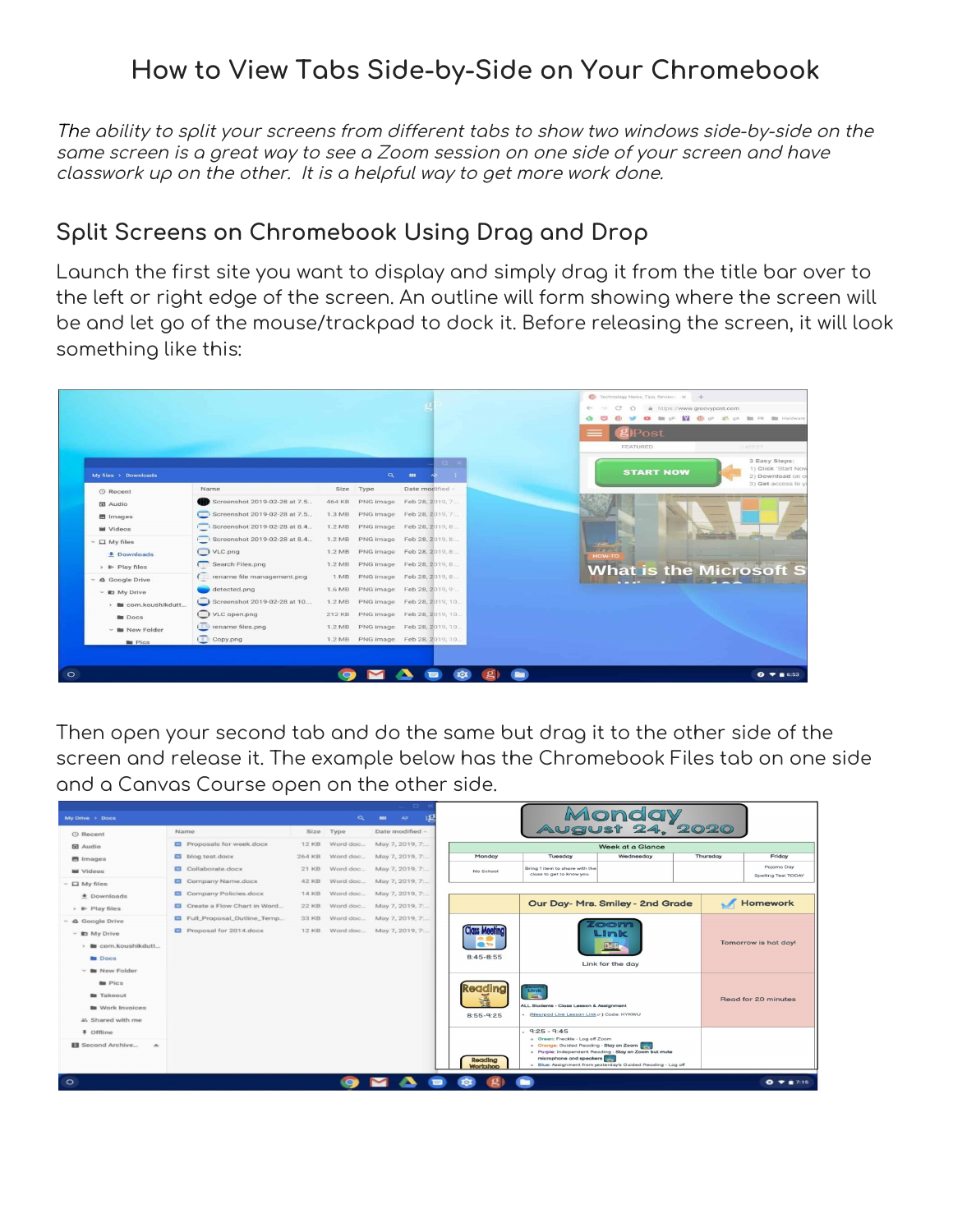### **How to View Tabs Side-by-Side on Your Chromebook**

The ability to split your screens from different tabs to show two windows side-by-side on the same screen is <sup>a</sup> great way to see <sup>a</sup> Zoom session on one side of your screen and have classwork up on the other. It is <sup>a</sup> helpful way to get more work done.

#### **Split Screens on Chromebook Using Drag and Drop**

Launch the first site you want to display and simply drag it from the title bar over to the left or right edge of the screen. An outline will form showing where the screen will be and let go of the mouse/trackpad to dock it. Before releasing the screen, it will look something like this:



Then open your second tab and do the same but drag it to the other side of the screen and release it. The example below has the Chromebook Files tab on one side and a Canvas Course open on the other side.

| o                                                  |                                  |                                                                 |                          |  |                 |  |  |                     |                                                                            |                                                              |  |          |                                   |
|----------------------------------------------------|----------------------------------|-----------------------------------------------------------------|--------------------------|--|-----------------|--|--|---------------------|----------------------------------------------------------------------------|--------------------------------------------------------------|--|----------|-----------------------------------|
| My Drive > Docs<br>$\alpha$<br>$\mathbf{m}$<br>AZ. |                                  |                                                                 |                          |  |                 |  |  |                     | Monday<br>August 24, 2020                                                  |                                                              |  |          |                                   |
| © Recent                                           | Name                             |                                                                 | Size Type                |  | Date modified - |  |  |                     |                                                                            |                                                              |  |          |                                   |
| <b>団</b> Audio                                     | <b>E</b> Proposals for week.docx | May 7, 2019, 7:<br><b>12 KB</b><br>Word doc<br>Week at a Glance |                          |  |                 |  |  |                     |                                                                            |                                                              |  |          |                                   |
| <b>El</b> Images                                   | blog test.docx                   | 264 KB                                                          | Word doc                 |  | May 7, 2019, 7: |  |  | Monday              | Tuesday                                                                    | Wednesday                                                    |  | Thursday | Friday                            |
| <b>M</b> Videos                                    | Collaborate.docx                 | 21 KB                                                           | Word doc May 7, 2019, 7: |  |                 |  |  | No School           | Bring 1 item to share with the<br>class to get to know you.                |                                                              |  |          | Pajama Day<br>Spelling Test TODAY |
| $~\sim~$ $\Box~$ My files                          | Company Name.docx                | 42 KB                                                           | Word doc May 7, 2019. 7: |  |                 |  |  |                     |                                                                            |                                                              |  |          |                                   |
| <b># Downloads</b>                                 | Company Policies.docx            | <b>14 KB</b>                                                    | Word doc May 7, 2019, 7: |  |                 |  |  |                     |                                                                            |                                                              |  |          |                                   |
| > B Play files                                     | Create a Flow Chart in Word      | 22 KB                                                           | Word doc May 7, 2019, 7: |  |                 |  |  |                     |                                                                            | Our Day- Mrs. Smiley - 2nd Grade                             |  |          | Homework                          |
| $~\vee~$ 4 Google Drive                            | Full_Proposal_Outline_Temp       | 33 KB                                                           | Word doc May 7, 2019, 7: |  |                 |  |  |                     |                                                                            | $\bullet$                                                    |  |          |                                   |
| $~\vee~$ Rt My Drive                               | Proposal for 2014.docx           | <b>12 KB</b>                                                    | Word doc May 7, 2019, 7: |  |                 |  |  | <b>Class Meetin</b> |                                                                            | Link                                                         |  |          |                                   |
| > la com.koushikdutt                               |                                  |                                                                 |                          |  |                 |  |  | e to                |                                                                            |                                                              |  |          | Tomorrow is hat day!              |
| <b>Bu</b> Docs                                     |                                  |                                                                 |                          |  |                 |  |  | $8:45 - 8:55$       |                                                                            |                                                              |  |          |                                   |
| <b>B</b> New Folder                                |                                  |                                                                 |                          |  |                 |  |  |                     |                                                                            | Link for the day                                             |  |          |                                   |
| <b>Bu</b> Pics                                     |                                  |                                                                 |                          |  |                 |  |  | Reading             |                                                                            |                                                              |  |          |                                   |
| <b>B</b> Takeout                                   |                                  |                                                                 |                          |  |                 |  |  |                     | 圖                                                                          |                                                              |  |          | Read for 20 minutes               |
| <b>Bu</b> Work Invoices                            |                                  |                                                                 |                          |  |                 |  |  |                     | ALL Students - Closs Lesson & Assignment                                   |                                                              |  |          |                                   |
| #1 Shared with me                                  |                                  |                                                                 |                          |  |                 |  |  | $8:55-9:25$         | - (Nearpod Live Lesson Link c ) Code: HYKWU                                |                                                              |  |          |                                   |
| # Offline                                          |                                  |                                                                 |                          |  |                 |  |  |                     | $-9:25 - 9:45$                                                             |                                                              |  |          |                                   |
| Second Archive<br>$\overline{a}$                   |                                  |                                                                 |                          |  |                 |  |  |                     | o Green: Freckle - Log off Zoom<br>o Orange: Guided Reading - Stay on Zoom |                                                              |  |          |                                   |
|                                                    |                                  |                                                                 |                          |  |                 |  |  | Reading             | microphone and speakers                                                    | o Purple: Independent Reading - Stay on Zoom but mute        |  |          |                                   |
|                                                    |                                  |                                                                 |                          |  |                 |  |  | Workshop            |                                                                            | . Blue: Assignment from yesterday's Guided Reading - Log off |  |          |                                   |
| $\circ$                                            | $0 - 15$                         |                                                                 |                          |  |                 |  |  |                     |                                                                            |                                                              |  |          |                                   |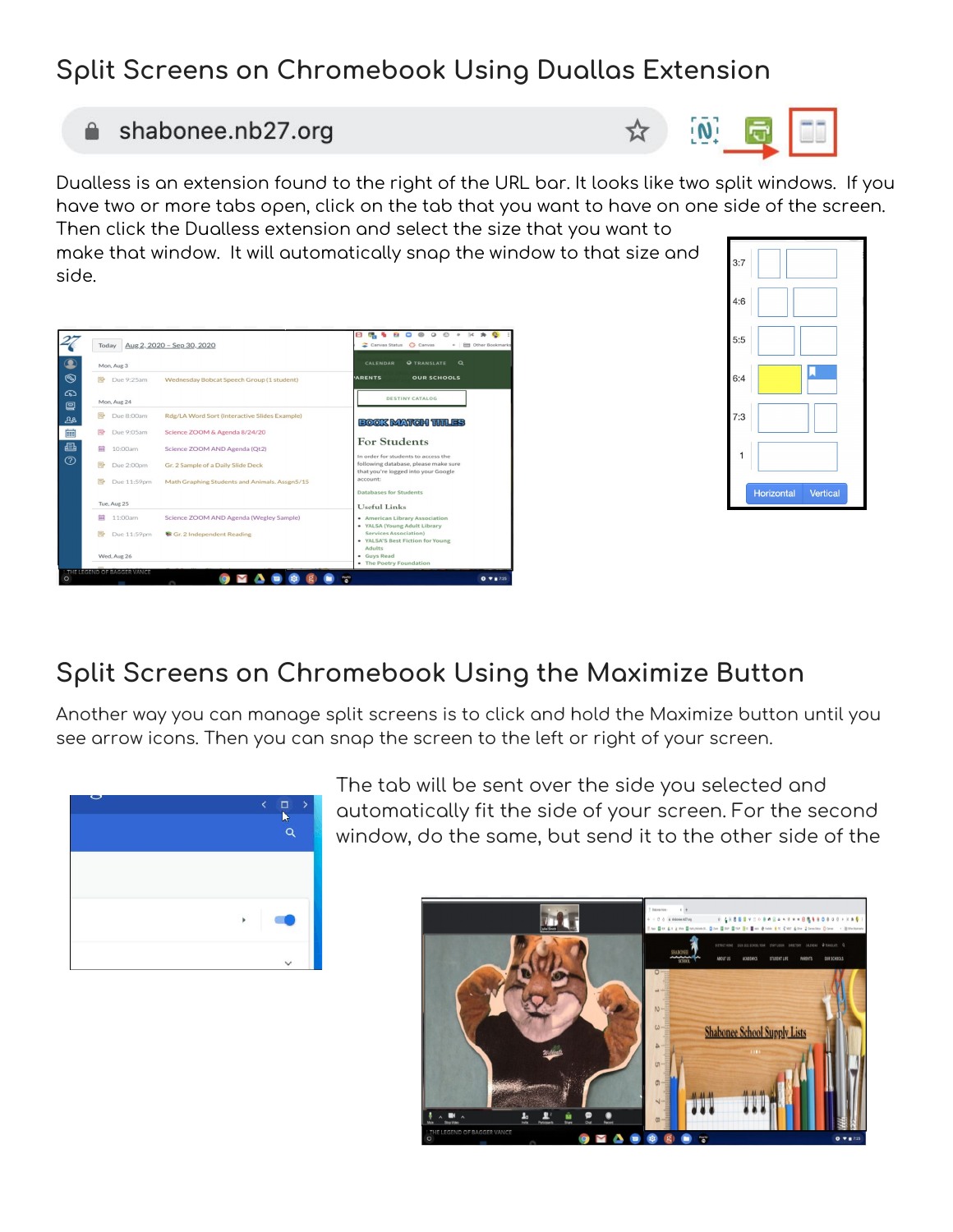## **Split Screens on Chromebook Using Duallas Extension**

#### **■** shabonee.nb27.org

Wednesday Bobcat Speech Group (1 student)

图 Due 8:00am Rdg/LA Word Sort (Interactive Slides Example)

Due 9:05am Science ZOOM & Agenda 8/24/20

量 10:00am Science ZOOM AND Agenda (Qt2)

Due 2:00pm Gr. 2 Sample of a Daily Slide Deck

27

 $\bullet$ 

 $\circledS$ 

෬

冒

জ্য

的

画

Mon, Aug 3

Mon, Aug 24

B Due 9:25am

Today Aug 2, 2020 - Sep 30, 2020

Dualless is an extension found to the right of the URL bar. It looks like two split windows. If you have two or more tabs open, click on the tab that you want to have on one side of the screen. Then click the Dualless extension and select the size that you want to

make that window. It will automatically snap the window to that size and side.

精も白口※00→ kt ★ Content<br>こCenves Status Conves → 田 Other Books

OUR SCHOOLS

**DESTINY CATALOG** 

**ROOK MATGH TITLES** 

**For Students** 

# **Split Screens on Chromebook Using the Maximize Button**

Another way you can manage split screens is to click and hold the Maximize button until you see arrow icons. Then you can snap the screen to the left or right of your screen.

> The tab will be sent over the side you selected and automatically fit the side of your screen. For the second window, do the same, but send it to the other side of the





 $\Box$ Q





☆